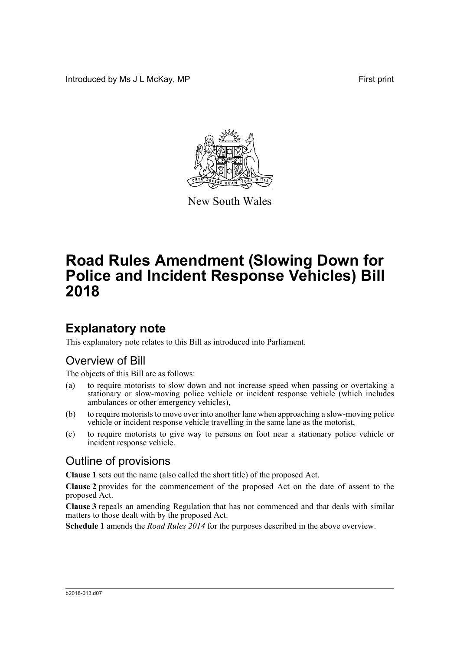Introduced by Ms J L McKay, MP **First** print



New South Wales

# **Road Rules Amendment (Slowing Down for Police and Incident Response Vehicles) Bill 2018**

### **Explanatory note**

This explanatory note relates to this Bill as introduced into Parliament.

#### Overview of Bill

The objects of this Bill are as follows:

- (a) to require motorists to slow down and not increase speed when passing or overtaking a stationary or slow-moving police vehicle or incident response vehicle (which includes ambulances or other emergency vehicles),
- (b) to require motorists to move over into another lane when approaching a slow-moving police vehicle or incident response vehicle travelling in the same lane as the motorist,
- (c) to require motorists to give way to persons on foot near a stationary police vehicle or incident response vehicle.

#### Outline of provisions

**Clause 1** sets out the name (also called the short title) of the proposed Act.

**Clause 2** provides for the commencement of the proposed Act on the date of assent to the proposed Act.

**Clause 3** repeals an amending Regulation that has not commenced and that deals with similar matters to those dealt with by the proposed Act.

**Schedule 1** amends the *Road Rules 2014* for the purposes described in the above overview.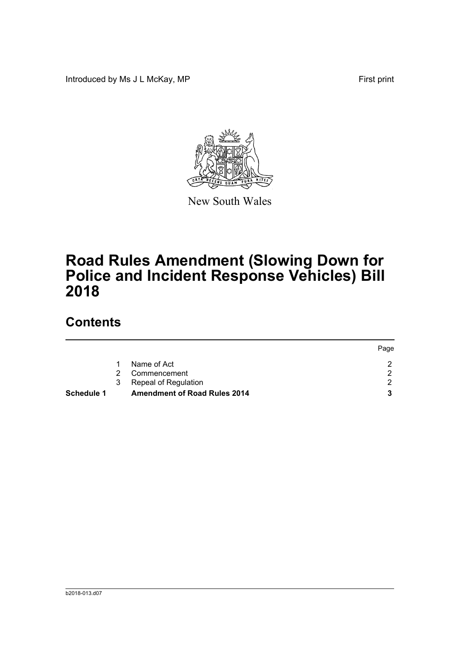Introduced by Ms J L McKay, MP **First** print



New South Wales

# **Road Rules Amendment (Slowing Down for Police and Incident Response Vehicles) Bill 2018**

## **Contents**

| <b>Schedule 1</b> | 3 | Repeal of Regulation<br><b>Amendment of Road Rules 2014</b> |      |
|-------------------|---|-------------------------------------------------------------|------|
|                   | 2 | Commencement                                                |      |
|                   |   | Name of Act                                                 |      |
|                   |   |                                                             | Page |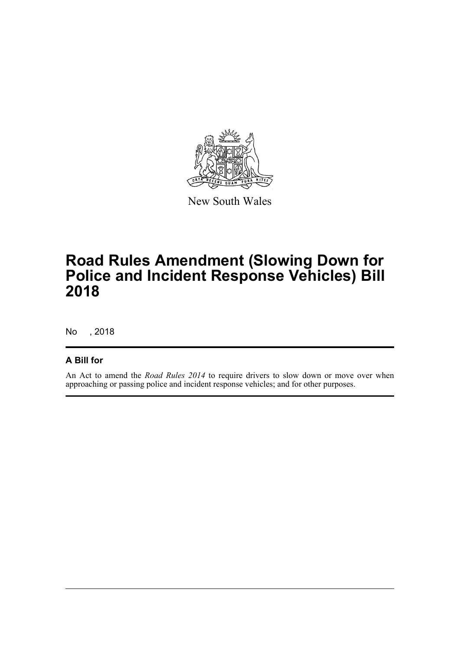

New South Wales

## **Road Rules Amendment (Slowing Down for Police and Incident Response Vehicles) Bill 2018**

No , 2018

#### **A Bill for**

An Act to amend the *Road Rules 2014* to require drivers to slow down or move over when approaching or passing police and incident response vehicles; and for other purposes.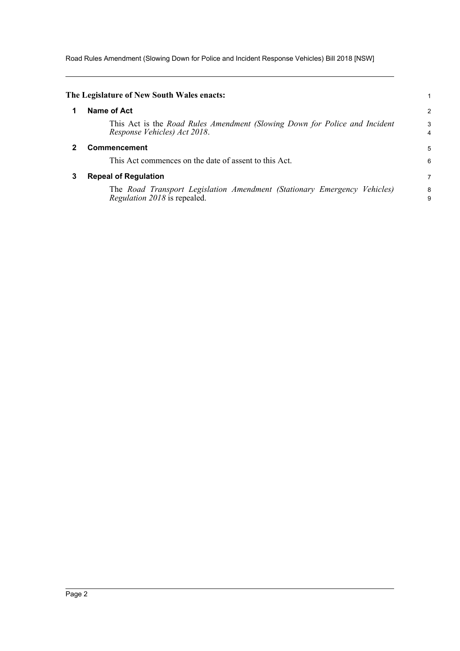Road Rules Amendment (Slowing Down for Police and Incident Response Vehicles) Bill 2018 [NSW]

<span id="page-3-2"></span><span id="page-3-1"></span><span id="page-3-0"></span>

|   | The Legislature of New South Wales enacts:                                                                      |                     |
|---|-----------------------------------------------------------------------------------------------------------------|---------------------|
| 1 | Name of Act                                                                                                     | 2                   |
|   | This Act is the Road Rules Amendment (Slowing Down for Police and Incident<br>Response Vehicles) Act 2018.      | 3<br>$\overline{4}$ |
|   | Commencement                                                                                                    | 5                   |
|   | This Act commences on the date of assent to this Act.                                                           | 6                   |
| 3 | <b>Repeal of Regulation</b>                                                                                     | 7                   |
|   | The Road Transport Legislation Amendment (Stationary Emergency Vehicles)<br><i>Regulation 2018</i> is repealed. | 8<br>9              |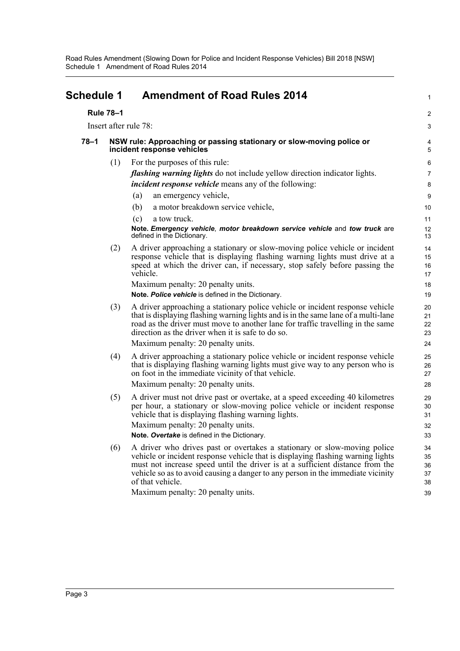<span id="page-4-0"></span>

| <b>Schedule 1</b><br><b>Rule 78-1</b> |     | <b>Amendment of Road Rules 2014</b>                                                                                                                                                                                                                                                                                                                                  |                                  |
|---------------------------------------|-----|----------------------------------------------------------------------------------------------------------------------------------------------------------------------------------------------------------------------------------------------------------------------------------------------------------------------------------------------------------------------|----------------------------------|
|                                       |     |                                                                                                                                                                                                                                                                                                                                                                      | 2                                |
|                                       |     | Insert after rule 78:                                                                                                                                                                                                                                                                                                                                                | З                                |
| $78 - 1$                              |     | NSW rule: Approaching or passing stationary or slow-moving police or<br>incident response vehicles                                                                                                                                                                                                                                                                   | ŧ                                |
|                                       | (1) | For the purposes of this rule:<br><i>flashing warning lights</i> do not include yellow direction indicator lights.<br><i>incident response vehicle</i> means any of the following:<br>an emergency vehicle,<br>(a)<br>(b)<br>a motor breakdown service vehicle,<br>(c)<br>a tow truck.<br>Note. Emergency vehicle, motor breakdown service vehicle and tow truck are | Е<br>7<br>ĉ<br>10<br>11<br>12    |
|                                       | (2) | defined in the Dictionary.<br>A driver approaching a stationary or slow-moving police vehicle or incident<br>response vehicle that is displaying flashing warning lights must drive at a<br>speed at which the driver can, if necessary, stop safely before passing the<br>vehicle.                                                                                  | 13<br>14<br>15<br>16<br>17       |
|                                       |     | Maximum penalty: 20 penalty units.<br>Note. Police vehicle is defined in the Dictionary.                                                                                                                                                                                                                                                                             | 18<br>1 <sup>c</sup>             |
|                                       | (3) | A driver approaching a stationary police vehicle or incident response vehicle<br>that is displaying flashing warning lights and is in the same lane of a multi-lane<br>road as the driver must move to another lane for traffic travelling in the same<br>direction as the driver when it is safe to do so.                                                          | 20<br>21<br>22<br>23             |
|                                       |     | Maximum penalty: 20 penalty units.                                                                                                                                                                                                                                                                                                                                   | 24                               |
|                                       | (4) | A driver approaching a stationary police vehicle or incident response vehicle<br>that is displaying flashing warning lights must give way to any person who is<br>on foot in the immediate vicinity of that vehicle.                                                                                                                                                 | 25<br>26<br>27                   |
|                                       |     | Maximum penalty: 20 penalty units.                                                                                                                                                                                                                                                                                                                                   | 28                               |
|                                       | (5) | A driver must not drive past or overtake, at a speed exceeding 40 kilometres<br>per hour, a stationary or slow-moving police vehicle or incident response<br>vehicle that is displaying flashing warning lights.<br>Maximum penalty: 20 penalty units.                                                                                                               | 29<br>3 <sub>C</sub><br>31<br>32 |
|                                       |     | Note. Overtake is defined in the Dictionary.                                                                                                                                                                                                                                                                                                                         | 33                               |
|                                       | (6) | A driver who drives past or overtakes a stationary or slow-moving police<br>vehicle or incident response vehicle that is displaying flashing warning lights<br>must not increase speed until the driver is at a sufficient distance from the<br>vehicle so as to avoid causing a danger to any person in the immediate vicinity<br>of that vehicle.                  | 34<br>35<br>36<br>37<br>38       |
|                                       |     | Maximum penalty: 20 penalty units.                                                                                                                                                                                                                                                                                                                                   | 39                               |